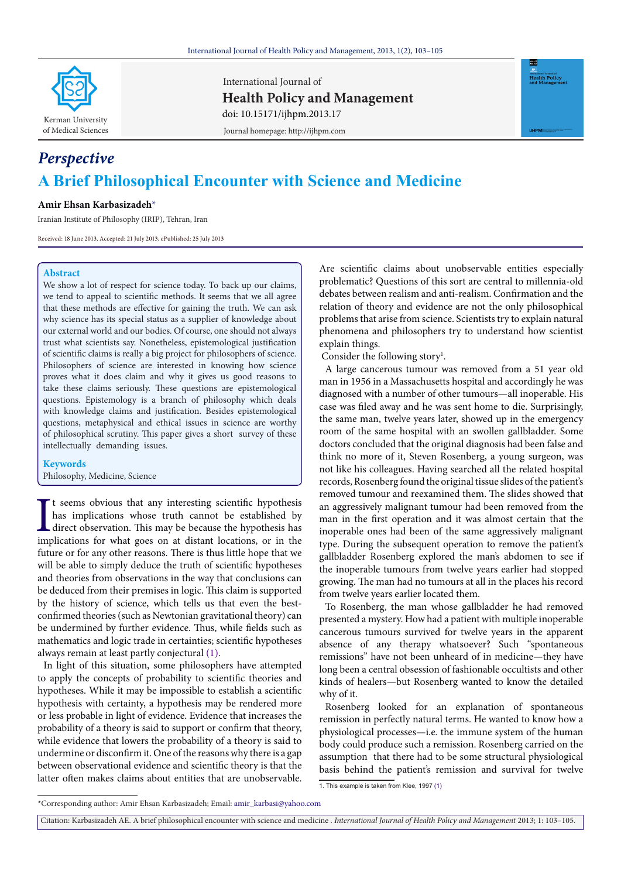

International Journal of **Health Policy and Management** Journal homepage: http://ijhpm.com doi: 10.15171/ijhpm.2013.17



# *Perspective* **A Brief Philosophical Encounter with Science and Medicine**

# **Amir Ehsan Karbasizadeh[\\*](#page-0-0)**

Iranian Institute of Philosophy (IRIP), Tehran, Iran

Received: 18 June 2013, Accepted: 21 July 2013, ePublished: 25 July 2013

## **Abstract**

We show a lot of respect for science today. To back up our claims, we tend to appeal to scientific methods. It seems that we all agree that these methods are effective for gaining the truth. We can ask why science has its special status as a supplier of knowledge about our external world and our bodies. Of course, one should not always trust what scientists say. Nonetheless, epistemological justification of scientific claims is really a big project for philosophers of science. Philosophers of science are interested in knowing how science proves what it does claim and why it gives us good reasons to take these claims seriously. These questions are epistemological questions. Epistemology is a branch of philosophy which deals with knowledge claims and justification. Besides epistemological questions, metaphysical and ethical issues in science are worthy of philosophical scrutiny. This paper gives a short survey of these intellectually demanding issues.

**Keywords** Philosophy, Medicine, Science

It seems obvious that any interesting scientific hypothesis has implications whose truth cannot be established by direct observation. This may be because the hypothesis has implications for what goes on at distant location t seems obvious that any interesting scientific hypothesis has implications whose truth cannot be established by direct observation. This may be because the hypothesis has future or for any other reasons. There is thus little hope that we will be able to simply deduce the truth of scientific hypotheses and theories from observations in the way that conclusions can be deduced from their premises in logic. This claim is supported by the history of science, which tells us that even the bestconfirmed theories (such as Newtonian gravitational theory) can be undermined by further evidence. Thus, while fields such as mathematics and logic trade in certainties; scientific hypotheses always remain at least partly conjectural [\(1\)](#page-2-0).

In light of this situation, some philosophers have attempted to apply the concepts of probability to scientific theories and hypotheses. While it may be impossible to establish a scientific hypothesis with certainty, a hypothesis may be rendered more or less probable in light of evidence. Evidence that increases the probability of a theory is said to support or confirm that theory, while evidence that lowers the probability of a theory is said to undermine or disconfirm it. One of the reasons why there is a gap between observational evidence and scientific theory is that the latter often makes claims about entities that are unobservable.

Are scientific claims about unobservable entities especially problematic? Questions of this sort are central to millennia-old debates between realism and anti-realism. Confirmation and the relation of theory and evidence are not the only philosophical problems that arise from science. Scientists try to explain natural phenomena and philosophers try to understand how scientist explain things.

Consider the following story<sup>1</sup>.

A large cancerous tumour was removed from a 51 year old man in 1956 in a Massachusetts hospital and accordingly he was diagnosed with a number of other tumours—all inoperable. His case was filed away and he was sent home to die. Surprisingly, the same man, twelve years later, showed up in the emergency room of the same hospital with an swollen gallbladder. Some doctors concluded that the original diagnosis had been false and think no more of it, Steven Rosenberg, a young surgeon, was not like his colleagues. Having searched all the related hospital records, Rosenberg found the original tissue slides of the patient's removed tumour and reexamined them. The slides showed that an aggressively malignant tumour had been removed from the man in the first operation and it was almost certain that the inoperable ones had been of the same aggressively malignant type. During the subsequent operation to remove the patient's gallbladder Rosenberg explored the man's abdomen to see if the inoperable tumours from twelve years earlier had stopped growing. The man had no tumours at all in the places his record from twelve years earlier located them.

To Rosenberg, the man whose gallbladder he had removed presented a mystery. How had a patient with multiple inoperable cancerous tumours survived for twelve years in the apparent absence of any therapy whatsoever? Such "spontaneous remissions" have not been unheard of in medicine—they have long been a central obsession of fashionable occultists and other kinds of healers—but Rosenberg wanted to know the detailed why of it.

Rosenberg looked for an explanation of spontaneous remission in perfectly natural terms. He wanted to know how a physiological processes—i.e. the immune system of the human body could produce such a remission. Rosenberg carried on the assumption that there had to be some structural physiological basis behind the patient's remission and survival for twelve

Citation: Karbasizadeh AE. A brief philosophical encounter with science and medicine . *International Journal of Health Policy and Management* 2013; 1: 103–105.

<span id="page-0-1"></span><sup>1.</sup> This example is taken from Klee, 1997 [\(1\)](#page-2-0)

<span id="page-0-0"></span><sup>\*</sup>Corresponding author: Amir Ehsan Karbasizadeh; Email: amir\_karbasi@yahoo.com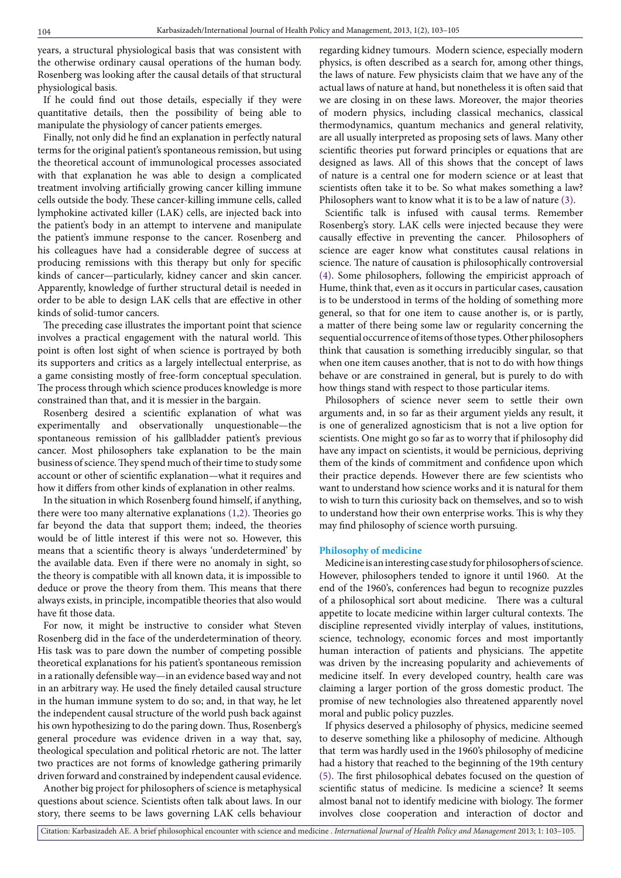years, a structural physiological basis that was consistent with the otherwise ordinary causal operations of the human body. Rosenberg was looking after the causal details of that structural physiological basis.

If he could find out those details, especially if they were quantitative details, then the possibility of being able to manipulate the physiology of cancer patients emerges.

Finally, not only did he find an explanation in perfectly natural terms for the original patient's spontaneous remission, but using the theoretical account of immunological processes associated with that explanation he was able to design a complicated treatment involving artificially growing cancer killing immune cells outside the body. These cancer-killing immune cells, called lymphokine activated killer (LAK) cells, are injected back into the patient's body in an attempt to intervene and manipulate the patient's immune response to the cancer. Rosenberg and his colleagues have had a considerable degree of success at producing remissions with this therapy but only for specific kinds of cancer—particularly, kidney cancer and skin cancer. Apparently, knowledge of further structural detail is needed in order to be able to design LAK cells that are effective in other kinds of solid-tumor cancers.

The preceding case illustrates the important point that science involves a practical engagement with the natural world. This point is often lost sight of when science is portrayed by both its supporters and critics as a largely intellectual enterprise, as a game consisting mostly of free-form conceptual speculation. The process through which science produces knowledge is more constrained than that, and it is messier in the bargain.

Rosenberg desired a scientific explanation of what was experimentally and observationally unquestionable—the spontaneous remission of his gallbladder patient's previous cancer. Most philosophers take explanation to be the main business of science. They spend much of their time to study some account or other of scientific explanation—what it requires and how it differs from other kinds of explanation in other realms.

In the situation in which Rosenberg found himself, if anything, there were too many alternative explanations [\(1](#page-2-0)[,2](#page-2-1)). Theories go far beyond the data that support them; indeed, the theories would be of little interest if this were not so. However, this means that a scientific theory is always 'underdetermined' by the available data. Even if there were no anomaly in sight, so the theory is compatible with all known data, it is impossible to deduce or prove the theory from them. This means that there always exists, in principle, incompatible theories that also would have fit those data.

For now, it might be instructive to consider what Steven Rosenberg did in the face of the underdetermination of theory. His task was to pare down the number of competing possible theoretical explanations for his patient's spontaneous remission in a rationally defensible way—in an evidence based way and not in an arbitrary way. He used the finely detailed causal structure in the human immune system to do so; and, in that way, he let the independent causal structure of the world push back against his own hypothesizing to do the paring down. Thus, Rosenberg's general procedure was evidence driven in a way that, say, theological speculation and political rhetoric are not. The latter two practices are not forms of knowledge gathering primarily driven forward and constrained by independent causal evidence.

Another big project for philosophers of science is metaphysical questions about science. Scientists often talk about laws. In our story, there seems to be laws governing LAK cells behaviour regarding kidney tumours. Modern science, especially modern physics, is often described as a search for, among other things, the laws of nature. Few physicists claim that we have any of the actual laws of nature at hand, but nonetheless it is often said that we are closing in on these laws. Moreover, the major theories of modern physics, including classical mechanics, classical thermodynamics, quantum mechanics and general relativity, are all usually interpreted as proposing sets of laws. Many other scientific theories put forward principles or equations that are designed as laws. All of this shows that the concept of laws of nature is a central one for modern science or at least that scientists often take it to be. So what makes something a law? Philosophers want to know what it is to be a law of nature ([3](#page-2-2)).

Scientific talk is infused with causal terms. Remember Rosenberg's story. LAK cells were injected because they were causally effective in preventing the cancer. Philosophers of science are eager know what constitutes causal relations in science. The nature of causation is philosophically controversial ([4](#page-2-3)). Some philosophers, following the empiricist approach of Hume, think that, even as it occurs in particular cases, causation is to be understood in terms of the holding of something more general, so that for one item to cause another is, or is partly, a matter of there being some law or regularity concerning the sequential occurrence of items of those types. Other philosophers think that causation is something irreducibly singular, so that when one item causes another, that is not to do with how things behave or are constrained in general, but is purely to do with how things stand with respect to those particular items.

Philosophers of science never seem to settle their own arguments and, in so far as their argument yields any result, it is one of generalized agnosticism that is not a live option for scientists. One might go so far as to worry that if philosophy did have any impact on scientists, it would be pernicious, depriving them of the kinds of commitment and confidence upon which their practice depends. However there are few scientists who want to understand how science works and it is natural for them to wish to turn this curiosity back on themselves, and so to wish to understand how their own enterprise works. This is why they may find philosophy of science worth pursuing.

### **Philosophy of medicine**

Medicine is an interesting case study for philosophers of science. However, philosophers tended to ignore it until 1960. At the end of the 1960's, conferences had begun to recognize puzzles of a philosophical sort about medicine. There was a cultural appetite to locate medicine within larger cultural contexts. The discipline represented vividly interplay of values, institutions, science, technology, economic forces and most importantly human interaction of patients and physicians. The appetite was driven by the increasing popularity and achievements of medicine itself. In every developed country, health care was claiming a larger portion of the gross domestic product. The promise of new technologies also threatened apparently novel moral and public policy puzzles.

If physics deserved a philosophy of physics, medicine seemed to deserve something like a philosophy of medicine. Although that term was hardly used in the 1960's philosophy of medicine had a history that reached to the beginning of the 19th century ([5](#page-2-4)). The first philosophical debates focused on the question of scientific status of medicine. Is medicine a science? It seems almost banal not to identify medicine with biology. The former involves close cooperation and interaction of doctor and

Citation: Karbasizadeh AE. A brief philosophical encounter with science and medicine . *International Journal of Health Policy and Management* 2013; 1: 103–105.